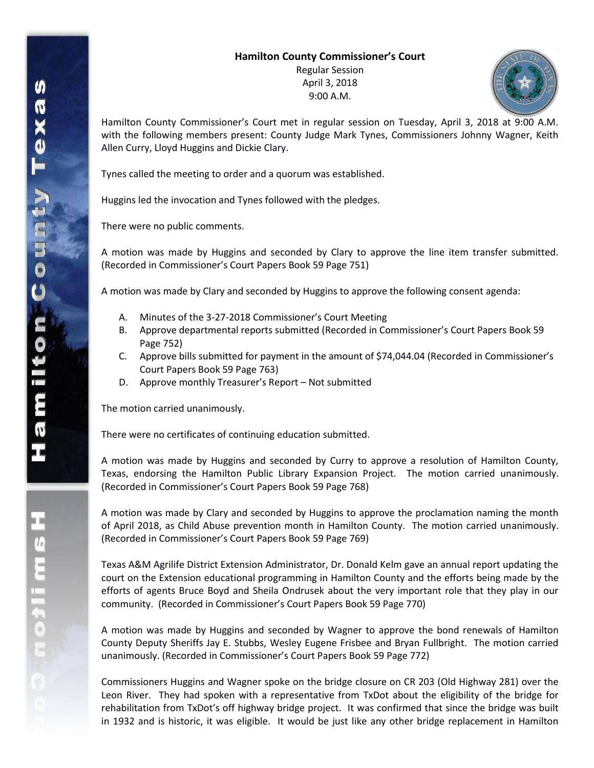## **Hamilton County Commissioner's Court**

Regular Session April 3, 2018 9:00 A.M.



Hamilton County Commissioner's Court met in regular session on Tuesday, April 3, 2018 at 9:00 A.M. with the following members present: County Judge Mark Tynes, Commissioners Johnny Wagner, Keith Allen Curry, Lloyd Huggins and Dickie Clary.

Tynes called the meeting to order and a quorum was established.

Huggins led the invocation and Tynes followed with the pledges.

There were no public comments.

A motion was made by Huggins and seconded by Clary to approve the line item transfer submitted. (Recorded in Commissioner's Court Papers Book 59 Page 751)

A motion was made by Clary and seconded by Huggins to approve the following consent agenda:

- A. Minutes of the 3-27-2018 Commissioner's Court Meeting
- B. Approve departmental reports submitted (Recorded in Commissioner's Court Papers Book 59 Page 752)
- C. Approve bills submitted for payment in the amount of \$74,044.04 (Recorded in Commissioner's Court Papers Book 59 Page 763)
- D. Approve monthly Treasurer's Report Not submitted

The motion carried unanimously.

There were no certificates of continuing education submitted.

A motion was made by Huggins and seconded by Curry to approve a resolution of Hamilton County, Texas, endorsing the Hamilton Public Library Expansion Project. The motion carried unanimously. (Recorded in Commissioner's Court Papers Book 59 Page 768)

A motion was made by Clary and seconded by Huggins to approve the proclamation naming the month of April 2018, as Child Abuse prevention month in Hamilton County. The motion carried unanimously. (Recorded in Commissioner's Court Papers Book 59 Page 769)

Texas A&M Agrilife District Extension Administrator, Dr. Donald Kelm gave an annual report updating the court on the Extension educational programming in Hamilton County and the efforts being made by the efforts of agents Bruce Boyd and Sheila Ondrusek about the very important role that they play in our community. (Recorded in Commissioner's Court Papers Book 59 Page 770)

A motion was made by Huggins and seconded by Wagner to approve the bond renewals of Hamilton County Deputy Sheriffs Jay E. Stubbs, Wesley Eugene Frisbee and Bryan Fullbright. The motion carried unanimously. (Recorded in Commissioner's Court Papers Book 59 Page 772)

Commissioners Huggins and Wagner spoke on the bridge closure on CR 203 (Old Highway 281) over the Leon River. They had spoken with a representative from TxDot about the eligibility of the bridge for rehabilitation from TxDot's off highway bridge project. It was confirmed that since the bridge was built in 1932 and is historic, it was eligible. It would be just like any other bridge replacement in Hamilton